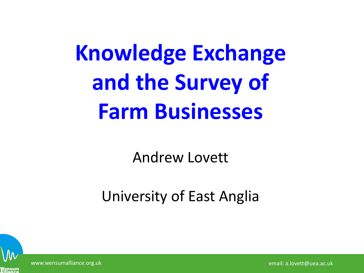# **Knowledge Exchange and the Survey of Farm Businesses**

Andrew Lovett

#### University of East Anglia



www.wensumalliance.org.uk email: a.lovett@uea.ac.uk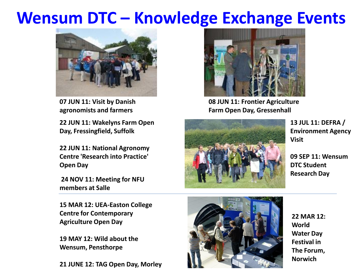#### **Wensum DTC – Knowledge Exchange Events**



**07 JUN 11: Visit by Danish agronomists and farmers**

**22 JUN 11: Wakelyns Farm Open Day, Fressingfield, Suffolk**

**22 JUN 11: National Agronomy Centre 'Research into Practice' Open Day**

**24 NOV 11: Meeting for NFU members at Salle**

**15 MAR 12: UEA-Easton College Centre for Contemporary Agriculture Open Day**

**19 MAY 12: Wild about the Wensum, Pensthorpe**

**21 JUNE 12: TAG Open Day, Morley**



**08 JUN 11: Frontier Agriculture Farm Open Day, Gressenhall**



**13 JUL 11: DEFRA / Environment Agency Visit**

**09 SEP 11: Wensum DTC Student Research Day**



**22 MAR 12: World Water Day Festival in The Forum, Norwich**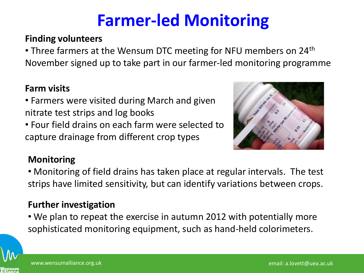### **Farmer-led Monitoring**

#### **Finding volunteers**

• Three farmers at the Wensum DTC meeting for NFU members on 24<sup>th</sup> November signed up to take part in our farmer-led monitoring programme

#### **Farm visits**

- Farmers were visited during March and given nitrate test strips and log books
- Four field drains on each farm were selected to capture drainage from different crop types



#### **Monitoring**

• Monitoring of field drains has taken place at regular intervals. The test strips have limited sensitivity, but can identify variations between crops.

#### **Further investigation**

• We plan to repeat the exercise in autumn 2012 with potentially more sophisticated monitoring equipment, such as hand-held colorimeters.

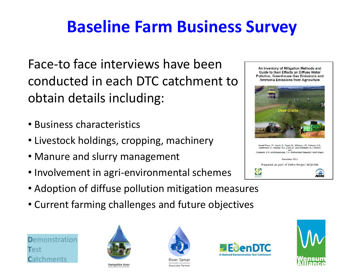## **Baseline Farm Business Survey**

Face-to face interviews have been conducted in each DTC catchment to obtain details including:

- Business characteristics
- Livestock holdings, cropping, machinery
- Manure and slurry management
- Involvement in agri-environmental schemes
- Adoption of diffuse pollution mitigation measures
- Current farming challenges and future objectives





**Hampshire Avon** 



**River Tamar** Associate Partner





 $\frac{1}{4045}$ 

An Inventory of Mitigation Methods and Guide to their Effects on Diffuse Water Pollution, Greenhouse Gas Emissions and Ammonia Emissions from Agriculture

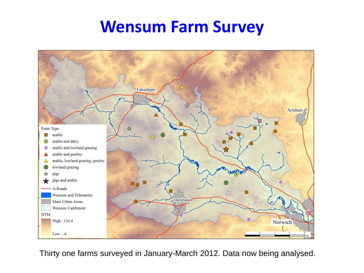#### **Wensum Farm Survey**



Thirty one farms surveyed in January-March 2012. Data now being analysed.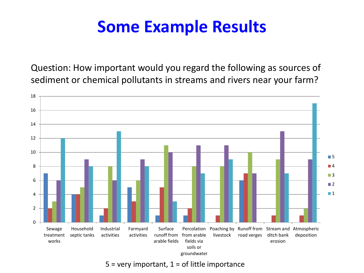Question: How important would you regard the following as sources of sediment or chemical pollutants in streams and rivers near your farm?



 $5$  = very important,  $1$  = of little importance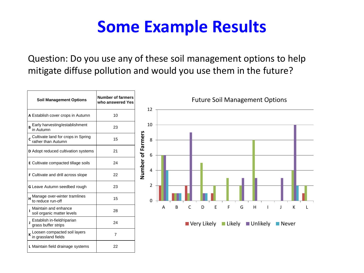Question: Do you use any of these soil management options to help mitigate diffuse pollution and would you use them in the future?

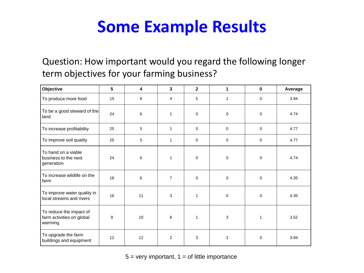#### Question: How important would you regard the following longer term objectives for your farming business?

| Objective                                                       | 5  | 4  | 3              | $\overline{2}$ | 1              | $\mathbf 0$  | Average |
|-----------------------------------------------------------------|----|----|----------------|----------------|----------------|--------------|---------|
| To produce more food                                            | 15 | 6  | 4              | 5              | $\mathbf{1}$   | $\mathbf 0$  | 3.94    |
| To be a good steward of the<br>land                             | 24 | 6  | 1              | $\mathbf 0$    | $\mathbf 0$    | $\mathbf 0$  | 4.74    |
| To increase profitability                                       | 25 | 5  | 1              | $\mathbf 0$    | $\mathbf 0$    | $\mathbf 0$  | 4.77    |
| To improve soil quality                                         | 25 | 5  | 1              | $\mathbf 0$    | $\mathbf 0$    | $\mathbf 0$  | 4.77    |
| To hand on a viable<br>business to the next<br>generation       | 24 | 6  | 1              | 0              | 0              | 0            | 4.74    |
| To increase wildlife on the<br>farm                             | 18 | 6  | $\overline{7}$ | $\mathbf 0$    | $\Omega$       | $\Omega$     | 4.35    |
| To improve water quality in<br>local streams and rivers         | 16 | 11 | 3              | $\mathbf{1}$   | $\mathbf 0$    | $\mathbf 0$  | 4.35    |
| To reduce the impact of<br>farm activities on global<br>warming | 8  | 10 | 8              | $\mathbf{1}$   | 3              | $\mathbf{1}$ | 3.52    |
| To upgrade the farm<br>buildings and equipment                  | 12 | 12 | 2              | 3              | $\overline{2}$ | $\mathbf 0$  | 3.94    |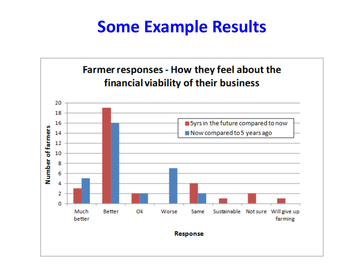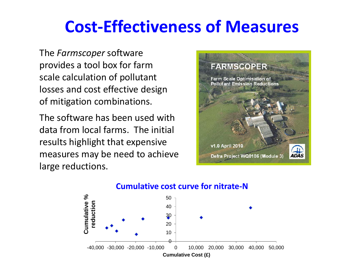### **Cost-Effectiveness of Measures**

The *Farmscoper* software provides a tool box for farm scale calculation of pollutant losses and cost effective design of mitigation combinations.

The software has been used with data from local farms. The initial results highlight that expensive measures may be need to achieve large reductions.



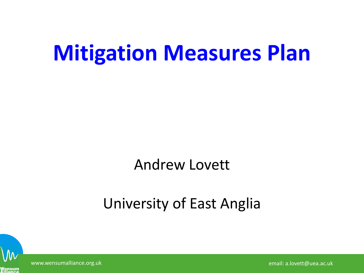## **Mitigation Measures Plan**

#### Andrew Lovett

#### University of East Anglia



www.wensumalliance.org.uk email: a.lovett@uea.ac.uk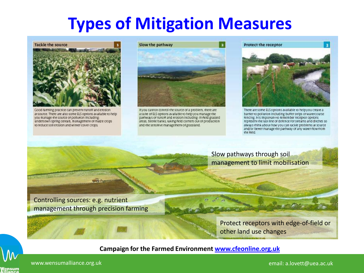### **Types of Mitigation Measures**



Good farming practice can prevent runoff and erosion at source. There are also some ELS options available to help you manage the source of pollution including. undersown spring cereals, management of malze crops to reduce soil erosion and winter cover crops.



If you cannot control the source of a problem, there are a sulte of ELS options available to help you manage the parhways of runoff and erosion including: In field grassed areas, beetle banks, taking field corners out of production and the sensitive management of grassland.

Protect the receptor



There are some ELS options available to helpyou create a barrier to pollution including buffer strips or watercourse fencing. It is important to remember receptor options represent the last line of defence for streams and ditches so always think about how you can tackle problems at source and/or better manage the pathway of any water flow from the field.

Slow pathways through soil management to limit mobilisation

Controlling sources: e.g. nutrient management through precision farming

> Protect receptors with edge-of-field or other land use changes

**Campaign for the Farmed Environment [www.cfeonline.org.uk](http://www.cfeonline.org.uk/)**

www.wensumalliance.org.uk email: a.lovett@uea.ac.uk